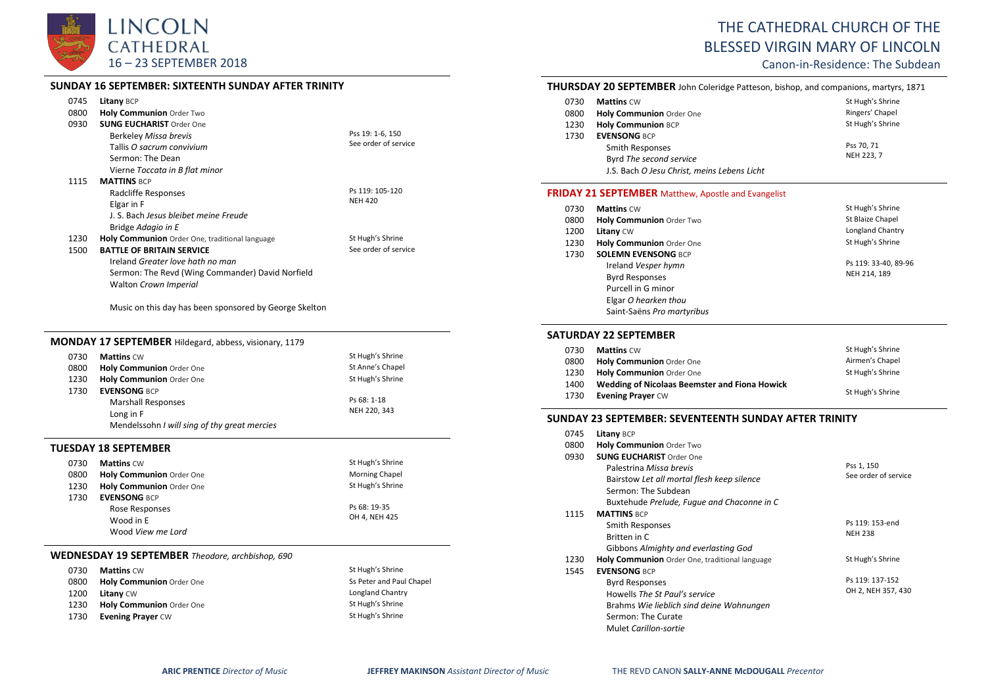

#### **SUNDAY 16 SEPTEMBER: SIXTEENTH SUNDAY AFTER TRINITY**

| 0745 | Litany BCP                                       |                      |
|------|--------------------------------------------------|----------------------|
| 0800 | Holy Communion Order Two                         |                      |
| 0930 | <b>SUNG EUCHARIST Order One</b>                  |                      |
|      | Berkeley Missa brevis                            | Pss 19: 1-6, 150     |
|      | Tallis O sacrum convivium                        | See order of service |
|      | Sermon: The Dean                                 |                      |
|      | Vierne Toccata in B flat minor                   |                      |
| 1115 | <b>MATTINS BCP</b>                               |                      |
|      | Radcliffe Responses                              | Ps 119: 105-120      |
|      | Elgar in F                                       | <b>NEH 420</b>       |
|      | J. S. Bach Jesus bleibet meine Freude            |                      |
|      | Bridge Adagio in E                               |                      |
| 1230 | Holy Communion Order One, traditional language   | St Hugh's Shrine     |
| 1500 | <b>BATTLE OF BRITAIN SERVICE</b>                 | See order of service |
|      | Ireland Greater love hath no man                 |                      |
|      | Sermon: The Revd (Wing Commander) David Norfield |                      |
|      | Walton Crown Imperial                            |                      |

Music on this day has been sponsored by George Skelton

# **MONDAY 17 SEPTEMBER** Hildegard, abbess, visionary, 1179

| 0730 | <b>Mattins CW</b>                            | St Hugh's Shrine |
|------|----------------------------------------------|------------------|
| 0800 | Holy Communion Order One                     | St Anne's Chapel |
| 1230 | Holy Communion Order One                     | St Hugh's Shrine |
| 1730 | <b>EVENSONG BCP</b>                          |                  |
|      | <b>Marshall Responses</b>                    | Ps 68: 1-18      |
|      | Long in F                                    | NEH 220, 343     |
|      | Mendelssohn I will sing of thy great mercies |                  |

#### **TUESDAY 18 SEPTEMBER**

| 0730 | <b>Mattins CW</b>               | St Hugh's Shrine      |
|------|---------------------------------|-----------------------|
| 0800 | <b>Holy Communion</b> Order One | <b>Morning Chapel</b> |
| 1230 | Holy Communion Order One        | St Hugh's Shrine      |
| 1730 | <b>EVENSONG BCP</b>             |                       |
|      | Rose Responses                  | Ps 68: 19-35          |
|      | Wood in E                       | OH 4. NEH 425         |
|      | Wood View me Lord               |                       |

#### **WEDNESDAY 19 SEPTEMBER** *Theodore, archbishop, 690*

| 0730 | <b>Mattins CW</b>               | St Hugh's Shrine         |
|------|---------------------------------|--------------------------|
| 0800 | <b>Holy Communion Order One</b> | Ss Peter and Paul Chapel |
| 1200 | <b>Litany CW</b>                | Longland Chantry         |
| 1230 | Holy Communion Order One        | St Hugh's Shrine         |
| 1730 | <b>Evening Prayer CW</b>        | St Hugh's Shrine         |

# THE CATHEDRAL CHURCH OF THE BLESSED VIRGIN MARY OF LINCOLN

Canon-in-Residence: The Subdean

#### **THURSDAY 20 SEPTEMBER** John Coleridge Patteson, bishop, and companions, martyrs, 1871

| 0730 | <b>Mattins CW</b>                           | St Hugh's Shrine |
|------|---------------------------------------------|------------------|
| 0800 | Holy Communion Order One                    | Ringers' Chapel  |
| 1230 | <b>Holy Communion BCP</b>                   | St Hugh's Shrine |
| 1730 | <b>EVENSONG BCP</b>                         |                  |
|      | Smith Responses                             | Pss 70, 71       |
|      | Byrd The second service                     | NEH 223, 7       |
|      | J.S. Bach O Jesu Christ, meins Lebens Licht |                  |

#### **FRIDAY 21 SEPTEMBER** Matthew, Apostle and Evangelist

| 0730 | <b>Mattins CW</b>          | St Hugh's Shrine     |
|------|----------------------------|----------------------|
| 0800 | Holy Communion Order Two   | St Blaize Chapel     |
| 1200 | Litany CW                  | Longland Chantry     |
| 1230 | Holy Communion Order One   | St Hugh's Shrine     |
| 1730 | <b>SOLEMN EVENSONG BCP</b> |                      |
|      | Ireland Vesper hymn        | Ps 119: 33-40, 89-96 |
|      | <b>Byrd Responses</b>      | NEH 214, 189         |
|      | Purcell in G minor         |                      |
|      | Elgar O hearken thou       |                      |
|      | Saint-Saëns Pro martyribus |                      |

#### **SATURDAY 22 SEPTEMBER**

| 0730 | <b>Mattins CW</b>                             | St Hugh's Shrine |
|------|-----------------------------------------------|------------------|
| 0800 | <b>Holy Communion Order One</b>               | Airmen's Chapel  |
| 1230 | <b>Holy Communion</b> Order One               | St Hugh's Shrine |
| 1400 | Wedding of Nicolaas Beemster and Fiona Howick |                  |
| 1730 | <b>Evening Prayer CW</b>                      | St Hugh's Shrine |

#### **SUNDAY 23 SEPTEMBER: SEVENTEENTH SUNDAY AFTER TRINITY**

| 0745 | <b>Litany BCP</b>                              |                      |
|------|------------------------------------------------|----------------------|
| 0800 | <b>Holy Communion Order Two</b>                |                      |
| 0930 | <b>SUNG EUCHARIST Order One</b>                |                      |
|      | Palestrina Missa brevis                        | Pss 1, 150           |
|      | Bairstow Let all mortal flesh keep silence     | See order of service |
|      | Sermon: The Subdean                            |                      |
|      | Buxtehude Prelude, Fugue and Chaconne in C     |                      |
| 1115 | <b>MATTINS BCP</b>                             |                      |
|      | Smith Responses                                | Ps 119: 153-end      |
|      | Britten in C                                   | <b>NEH 238</b>       |
|      | Gibbons Almighty and everlasting God           |                      |
| 1230 | Holy Communion Order One, traditional language | St Hugh's Shrine     |
| 1545 | <b>EVENSONG BCP</b>                            |                      |
|      | <b>Byrd Responses</b>                          | Ps 119: 137-152      |
|      | Howells The St Paul's service                  | OH 2, NEH 357, 430   |
|      | Brahms Wie lieblich sind deine Wohnungen       |                      |
|      | Sermon: The Curate                             |                      |
|      | Mulet Carillon-sortie                          |                      |